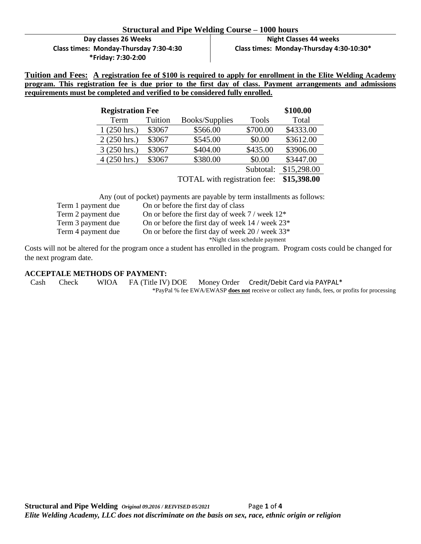#### **Structural and Pipe Welding Course – 1000 hours**

**Day classes 26 Weeks Class times: Monday-Thursday 7:30-4:30 \*Friday: 7:30-2:00**

**Night Classes 44 weeks Class times: Monday-Thursday 4:30-10:30\*** 

**Tuition and Fees: A registration fee of \$100 is required to apply for enrollment in the Elite Welding Academy program. This registration fee is due prior to the first day of class. Payment arrangements and admissions requirements must be completed and verified to be considered fully enrolled.** 

| <b>Registration Fee</b> |         |                              |              | \$100.00    |
|-------------------------|---------|------------------------------|--------------|-------------|
| Term                    | Tuition | Books/Supplies               | <b>Tools</b> | Total       |
| $1(250 \text{ hrs.})$   | \$3067  | \$566.00                     | \$700.00     | \$4333.00   |
| $2(250 \text{ hrs.})$   | \$3067  | \$545.00                     | \$0.00       | \$3612.00   |
| $3(250 \text{ hrs.})$   | \$3067  | \$404.00                     | \$435.00     | \$3906.00   |
| $4(250 \text{ hrs.})$   | \$3067  | \$380.00                     | \$0.00       | \$3447.00   |
|                         |         |                              | Subtotal:    | \$15,298.00 |
|                         |         | TOTAL with registration fee: | \$15,398.00  |             |

Any (out of pocket) payments are payable by term installments as follows:

Term 1 payment due On or before the first day of class Term 2 payment due On or before the first day of week 7 / week  $12^*$ 

Term 3 payment due On or before the first day of week 14 / week  $23^*$ 

Term 4 payment due On or before the first day of week 20 / week 33<sup>\*</sup>

\*Night class schedule payment

Costs will not be altered for the program once a student has enrolled in the program. Program costs could be changed for the next program date.

#### **ACCEPTALE METHODS OF PAYMENT:**

Cash Check WIOA FA (Title IV) DOE Money Order Credit/Debit Card via PAYPAL\*

\*PayPal % fee EWA/EWASP **does not** receive or collect any funds, fees, or profits for processing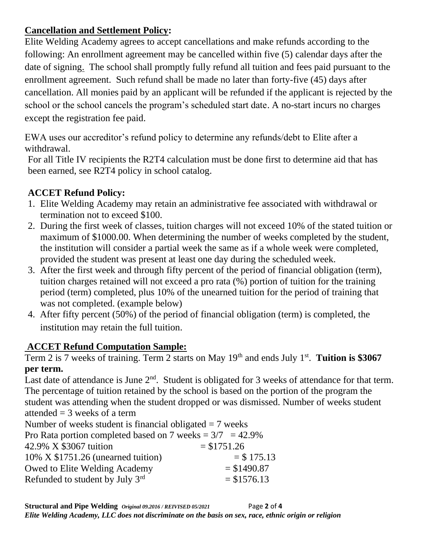## **Cancellation and Settlement Policy:**

Elite Welding Academy agrees to accept cancellations and make refunds according to the following: An enrollment agreement may be cancelled within five (5) calendar days after the date of signing. The school shall promptly fully refund all tuition and fees paid pursuant to the enrollment agreement. Such refund shall be made no later than forty-five (45) days after cancellation. All monies paid by an applicant will be refunded if the applicant is rejected by the school or the school cancels the program's scheduled start date. A no-start incurs no charges except the registration fee paid.

EWA uses our accreditor's refund policy to determine any refunds/debt to Elite after a withdrawal.

For all Title IV recipients the R2T4 calculation must be done first to determine aid that has been earned, see R2T4 policy in school catalog.

## **ACCET Refund Policy:**

- 1. Elite Welding Academy may retain an administrative fee associated with withdrawal or termination not to exceed \$100.
- 2. During the first week of classes, tuition charges will not exceed 10% of the stated tuition or maximum of \$1000.00. When determining the number of weeks completed by the student, the institution will consider a partial week the same as if a whole week were completed, provided the student was present at least one day during the scheduled week.
- 3. After the first week and through fifty percent of the period of financial obligation (term), tuition charges retained will not exceed a pro rata (%) portion of tuition for the training period (term) completed, plus 10% of the unearned tuition for the period of training that was not completed. (example below)
- 4. After fifty percent (50%) of the period of financial obligation (term) is completed, the institution may retain the full tuition.

## **ACCET Refund Computation Sample:**

Term 2 is 7 weeks of training. Term 2 starts on May 19<sup>th</sup> and ends July 1<sup>st</sup>. Tuition is \$3067 **per term.**

Last date of attendance is June  $2<sup>nd</sup>$ . Student is obligated for 3 weeks of attendance for that term. The percentage of tuition retained by the school is based on the portion of the program the student was attending when the student dropped or was dismissed. Number of weeks student attended  $=$  3 weeks of a term

Number of weeks student is financial obligated  $= 7$  weeks Pro Rata portion completed based on 7 weeks  $= 3/7$  = 42.9%  $42.9\% \times $3067$  tuition  $= $1751.26$ 10% X \$1751.26 (unearned tuition)  $=$  \$ 175.13 Owed to Elite Welding Academy  $= $1490.87$ Refunded to student by July 3rd  $= $1576.13$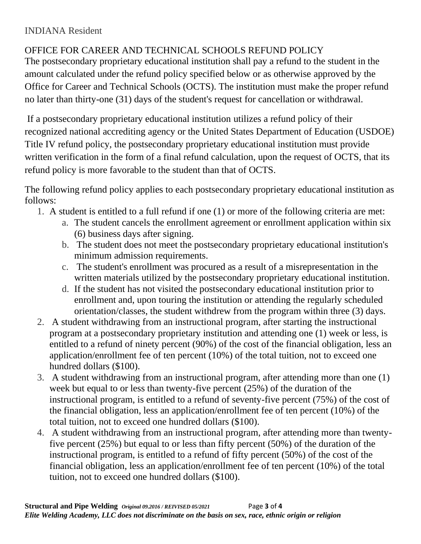# OFFICE FOR CAREER AND TECHNICAL SCHOOLS REFUND POLICY

The postsecondary proprietary educational institution shall pay a refund to the student in the amount calculated under the refund policy specified below or as otherwise approved by the Office for Career and Technical Schools (OCTS). The institution must make the proper refund no later than thirty-one (31) days of the student's request for cancellation or withdrawal.

If a postsecondary proprietary educational institution utilizes a refund policy of their recognized national accrediting agency or the United States Department of Education (USDOE) Title IV refund policy, the postsecondary proprietary educational institution must provide written verification in the form of a final refund calculation, upon the request of OCTS, that its refund policy is more favorable to the student than that of OCTS.

The following refund policy applies to each postsecondary proprietary educational institution as follows:

- 1. A student is entitled to a full refund if one (1) or more of the following criteria are met:
	- a. The student cancels the enrollment agreement or enrollment application within six (6) business days after signing.
	- b. The student does not meet the postsecondary proprietary educational institution's minimum admission requirements.
	- c. The student's enrollment was procured as a result of a misrepresentation in the written materials utilized by the postsecondary proprietary educational institution.
	- d. If the student has not visited the postsecondary educational institution prior to enrollment and, upon touring the institution or attending the regularly scheduled orientation/classes, the student withdrew from the program within three (3) days.
- 2. A student withdrawing from an instructional program, after starting the instructional program at a postsecondary proprietary institution and attending one (1) week or less, is entitled to a refund of ninety percent (90%) of the cost of the financial obligation, less an application/enrollment fee of ten percent (10%) of the total tuition, not to exceed one hundred dollars (\$100).
- 3. A student withdrawing from an instructional program, after attending more than one (1) week but equal to or less than twenty-five percent (25%) of the duration of the instructional program, is entitled to a refund of seventy-five percent (75%) of the cost of the financial obligation, less an application/enrollment fee of ten percent (10%) of the total tuition, not to exceed one hundred dollars (\$100).
- 4. A student withdrawing from an instructional program, after attending more than twentyfive percent (25%) but equal to or less than fifty percent (50%) of the duration of the instructional program, is entitled to a refund of fifty percent (50%) of the cost of the financial obligation, less an application/enrollment fee of ten percent (10%) of the total tuition, not to exceed one hundred dollars (\$100).